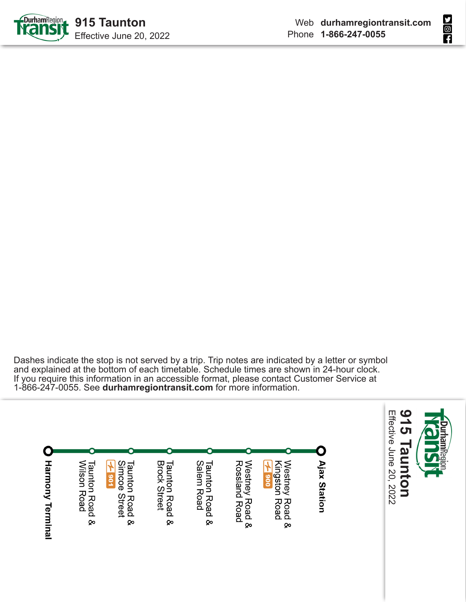



Dashes indicate the stop is not served by a trip. Trip notes are indicated by a letter or symbol and explained at the bottom of each timetable. Schedule times are shown in 24-hour clock. If you require this information in an accessible format, please contact Customer Service at 1-866-247-0055. See **durhamregiontransit.com** for more information.

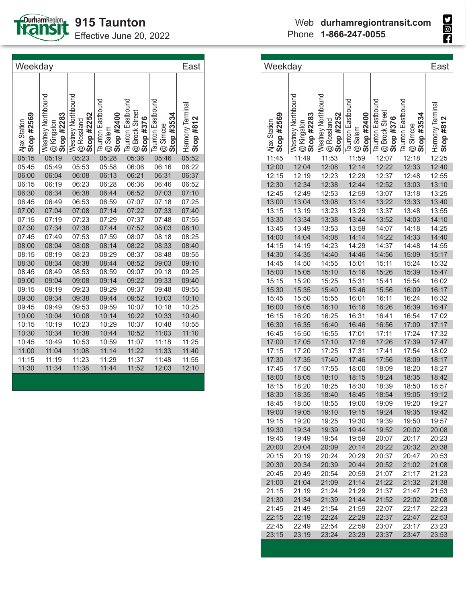

Effective June 20, 2022

| Weekday                    |                                                                |                                                |                                                                   |                                                                                |                                                                |                               |  |
|----------------------------|----------------------------------------------------------------|------------------------------------------------|-------------------------------------------------------------------|--------------------------------------------------------------------------------|----------------------------------------------------------------|-------------------------------|--|
| Stop #2569<br>Ajax Station | Westney Northbound<br>Stop #2283<br>Kingston<br>$^{\circledR}$ | Westney Northbound<br>Stop #2252<br>@ Rossland | <b>Taunton Eastbound</b><br>Stop #2400<br>Salem<br>$\circledcirc$ | <b>Taunton Eastbound</b><br><b>Brock Street</b><br>Stop #376<br>$^{\circledR}$ | Taunton Eastbound<br>#3534<br>Simcoe<br>Stop<br>$^{\circledR}$ | Harmony Terminal<br>Stop #812 |  |
| 05:15                      | 05:19                                                          | 05:23                                          | 05:28                                                             | 05:36                                                                          | 05:46                                                          | 05:52                         |  |
| 05:45                      | 05:49                                                          | 05:53                                          | 05:58                                                             | 06:06                                                                          | 06:16                                                          | 06:22                         |  |
| 06:00                      | 06:04                                                          | 06:08                                          | 06:13                                                             | 06:21                                                                          | 06:31                                                          | 06:37                         |  |
| 06:15                      | 06:19                                                          | 06:23                                          | 06:28                                                             | 06:36                                                                          | 06:46                                                          | 06:52                         |  |
| 06:30                      | 06:34                                                          | 06:38                                          | 06:44                                                             | 06:52                                                                          | 07:03                                                          | 07:10                         |  |
| 06:45                      | 06:49                                                          | 06:53                                          | 06:59                                                             | 07:07                                                                          | 07:18                                                          | 07:25                         |  |
| 07:00                      | 07:04                                                          | 07:08                                          | 07:14                                                             | 07:22                                                                          | 07:33                                                          | 07:40                         |  |
| 07:15                      | 07:19                                                          | 07:23                                          | 07:29                                                             | 07:37                                                                          | 07:48                                                          | 07:55                         |  |
| 07:30                      | 07:34                                                          | 07:38                                          | 07:44                                                             | 07:52                                                                          | 08:03                                                          | 08:10                         |  |
| 07:45                      | 07:49                                                          | 07:53                                          | 07:59                                                             | 08:07                                                                          | 08:18                                                          | 08:25                         |  |
| 08:00                      | 08:04                                                          | 08:08                                          | 08:14                                                             | 08:22                                                                          | 08:33                                                          | 08:40                         |  |
| 08:15                      | 08:19                                                          | 08:23                                          | 08:29                                                             | 08:37                                                                          | 08:48                                                          | 08:55                         |  |
| 08:30                      | 08:34                                                          | 08:38                                          | 08:44                                                             | 08:52                                                                          | 09:03                                                          | 09:10                         |  |
| 08:45                      | 08:49                                                          | 08:53                                          | 08:59                                                             | 09:07                                                                          | 09:18                                                          | 09:25                         |  |
| 09:00                      | 09:04                                                          | 09:08                                          | 09:14                                                             | 09:22                                                                          | 09:33                                                          | 09:40                         |  |
| 09:15                      | 09:19                                                          | 09:23                                          | 09:29                                                             | 09:37                                                                          | 09:48                                                          | 09:55                         |  |
| 09:30                      | 09:34                                                          | 09:38                                          | 09:44                                                             | 09:52                                                                          | 10:03                                                          | 10:10                         |  |
| 09:45                      | 09:49                                                          | 09:53                                          | 09:59                                                             | 10:07                                                                          | 10:18                                                          | 10:25                         |  |
| 10:00                      | 10:04                                                          | 10:08                                          | 10:14                                                             | 10:22                                                                          | 10:33                                                          | 10:40                         |  |
| 10:15                      | 10:19                                                          | 10:23                                          | 10:29                                                             | 10:37                                                                          | 10:48                                                          | 10:55                         |  |
| 10:30                      | 10:34                                                          | 10:38                                          | 10:44                                                             | 10:52                                                                          | 11:03                                                          | 11:10                         |  |
| 10:45                      | 10:49                                                          | 10:53                                          | 10:59                                                             | 11:07                                                                          | 11:18                                                          | 11:25                         |  |
| 11:00                      | 11:04                                                          | 11:08                                          | 11:14                                                             | 11:22                                                                          | 11:33                                                          | 11:40                         |  |
| 11:15                      | 11:19                                                          | 11:23                                          | 11:29                                                             | 11:37                                                                          | 11:48                                                          | 11:55                         |  |
| 11:30                      | 11:34                                                          | 11:38                                          | 11:44                                                             | 11:52                                                                          | 12:03                                                          | 12:10                         |  |
|                            |                                                                |                                                |                                                                   |                                                                                |                                                                |                               |  |

| Weekday                    |                          |                                                             |                                                         |                                                               |                               | East             |
|----------------------------|--------------------------|-------------------------------------------------------------|---------------------------------------------------------|---------------------------------------------------------------|-------------------------------|------------------|
|                            |                          |                                                             |                                                         |                                                               |                               |                  |
|                            | Westney Northbound       | . Westney Northbound<br>i @ Rossland<br>P <b>Stop #2252</b> | . Taunton Eastbound<br>Î @ Salem<br><b>Î Stop #2400</b> | . Taunton Eastbound<br>  @ Brock Street<br><b>  Stop #376</b> | <b>Taunton Eastbound</b>      | Harmony Terminal |
| Stop #2569<br>Ajax Station | @ Kingston<br>Stop #2283 |                                                             |                                                         |                                                               | <b>@</b> Simcoe<br>Stop #3534 | #812<br>Stop:    |
|                            |                          |                                                             |                                                         |                                                               |                               |                  |
| 11:45                      | 11:49                    | 11:53                                                       | 11:59                                                   | 12:07                                                         | 12:18                         | 12:25            |
| 12:00                      | 12:04                    | 12:08                                                       | 12:14                                                   | 12:22                                                         | 12:33                         | 12:40            |
| 12:15                      | 12:19                    | 12:23                                                       | 12:29                                                   | 12:37                                                         | 12:48                         | 12:55            |
| 12:30                      | 12:34                    | 12:38                                                       | 12:44                                                   | 12:52                                                         | 13:03                         | 13:10            |
| 12:45                      | 12:49                    | 12:53                                                       | 12:59                                                   | 13:07                                                         | 13:18                         | 13:25            |
| 13:00                      | 13:04                    | 13:08                                                       | 13:14                                                   | 13:22                                                         | 13:33                         | 13:40            |
| 13:15                      | 13:19                    | 13:23                                                       | 13:29                                                   | 13:37                                                         | 13:48                         | 13:55            |
| 13:30                      | 13:34                    | 13:38                                                       | 13:44                                                   | 13:52                                                         | 14:03                         | 14:10            |
| 13:45                      | 13:49                    | 13:53                                                       | 13:59                                                   | 14:07                                                         | 14:18                         | 14:25            |
| 14:00                      | 14:04                    | 14:08                                                       | 14:14                                                   | 14:22                                                         | 14:33                         | 14:40            |
| 14:15                      | 14:19                    | 14:23                                                       | 14:29                                                   | 14:37                                                         | 14:48                         | 14:55            |
| 14:30                      | 14:35                    | 14:40                                                       | 14:46                                                   | 14:56                                                         | 15:09                         | 15:17            |
| 14:45                      | 14:50                    | 14:55                                                       | 15:01                                                   | 15:11                                                         | 15:24                         | 15:32            |
| 15:00                      | 15:05                    | 15:10                                                       | 15:16                                                   | 15:26                                                         | 15:39                         | 15:47            |
| 15:15                      | 15:20                    | 15:25                                                       | 15:31                                                   | 15:41                                                         | 15:54                         | 16:02            |
| 15:30                      | 15:35                    | 15:40                                                       | 15:46                                                   | 15:56                                                         | 16:09                         | 16:17            |
| 15:45                      | 15:50                    | 15:55                                                       | 16:01                                                   | 16:11                                                         | 16:24                         | 16:32            |
| 16:00                      | 16:05                    | 16:10                                                       | 16:16                                                   | 16:26                                                         | 16:39                         | 16:47            |
| 16:15                      | 16:20                    | 16:25                                                       | 16:31                                                   | 16:41                                                         | 16:54                         | 17:02            |
| 16:30                      | 16:35                    | 16:40                                                       | 16:46                                                   | 16:56                                                         | 17:09                         | 17:17            |
| 16:45                      | 16:50                    | 16:55                                                       | 17:01                                                   | 17:11                                                         | 17:24                         | 17:32            |
| 17:00                      | 17:05                    | 17:10                                                       | 17:16                                                   | 17:26                                                         | 17:39                         | 17:47            |
| 17:15                      | 17:20                    | 17:25                                                       | 17:31                                                   | 17:41                                                         | 17:54                         | 18:02            |
| 17:30                      | 17:35                    | 17:40                                                       | 17:46                                                   | 17:56                                                         | 18:09                         | 18:17            |
| 17:45                      | 17:50                    | 17:55                                                       | 18:00                                                   | 18:09                                                         | 18:20                         | 18:27            |
| 18:00                      | 18:05                    | 18:10                                                       | 18:15                                                   | 18:24                                                         | 18:35                         | 18:42            |
| 18:15                      | 18:20                    | 18:25                                                       | 18:30                                                   | 18:39                                                         | 18:50                         | 18:57            |
| 18:30                      | 18:35                    | 18:40                                                       | 18:45                                                   | 18:54                                                         | 19:05                         | 19:12            |
| 18:45                      | 18:50                    | 18:55                                                       | 19:00                                                   | 19:09                                                         | 19:20                         | 19:27            |
| 19:00                      | 19:05                    | 19:10                                                       | 19:15                                                   | 19:24                                                         | 19:35                         | 19:42            |
| 19:15                      | 19:20                    | 19:25                                                       | 19:30                                                   | 19:39                                                         | 19:50                         | 19:57            |
| 19:30                      | 19:34                    | 19:39                                                       | 19:44                                                   | 19:52                                                         | 20:02                         | 20:08            |
| 19:45                      | 19:49                    | 19:54                                                       | 19:59                                                   | 20:07                                                         | 20:17                         | 20:23            |
| 20:00                      | 20:04                    | 20:09                                                       | 20:14                                                   | 20:22                                                         | 20:32                         | 20:38            |
| 20:15                      | 20:19                    | 20:24                                                       | 20:29                                                   | 20:37                                                         | 20:47                         | 20:53            |
| 20:30                      | 20:34                    | 20:39                                                       | 20:44                                                   | 20:52                                                         | 21:02                         | 21:08            |
| 20:45                      | 20:49                    | 20:54                                                       | 20:59                                                   | 21:07                                                         | 21:17                         | 21:23            |
| 21:00                      | 21:04                    | 21:09                                                       | 21:14                                                   | 21:22                                                         | 21:32                         | 21:38            |
| 21:15                      | 21:19                    | 21:24                                                       | 21:29                                                   | 21:37                                                         | 21:47                         | 21:53            |
| 21:30                      | 21:34                    | 21:39                                                       | 21:44                                                   | 21:52                                                         | 22:02                         | 22:08            |
| 21:45                      | 21:49                    | 21:54                                                       | 21:59                                                   | 22:07                                                         | 22:17                         | 22:23            |
| 22:15                      | 22:19                    | 22:24                                                       | 22:29                                                   | 22:37                                                         | 22:47                         | 22:53            |
| 22:45                      | 22:49                    | 22:54                                                       | 22:59                                                   | 23:07                                                         | 23:17                         | 23:23            |
| 23:15                      | 23:19                    | 23:24                                                       | 23:29                                                   | 23:37                                                         | 23:47                         | 23:53            |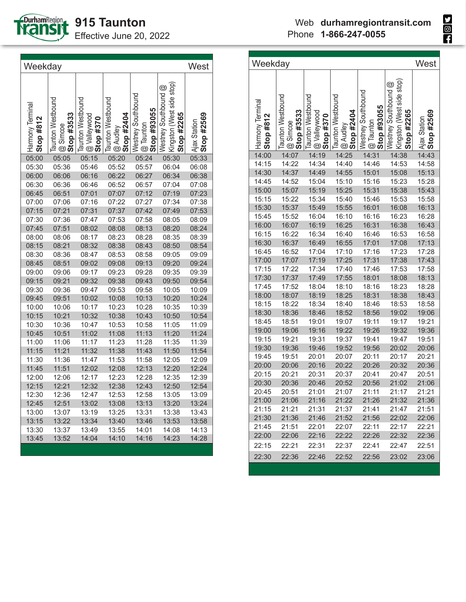

**915 Taunton**

Effective June 20, 2022

| Weekday                         |                                                    |                                                |                                             |                                                                |                                                                 | West                       |
|---------------------------------|----------------------------------------------------|------------------------------------------------|---------------------------------------------|----------------------------------------------------------------|-----------------------------------------------------------------|----------------------------|
| Harmony Terminal<br>Stop $#812$ | <b>Taunton Westbound</b><br>Stop #3533<br>@ Simcoe | Taunton Westbound<br>oowhile yood<br>Stop #370 | Taunton Westbound<br>Stop #2404<br>@ Audley | Westney Southbound<br>Stop #93055<br>Taunton<br>$\circledcirc$ | Kingston (West side stop)<br>Westney Southbound @<br>Stop #2265 | Stop #2569<br>Ajax Station |
| 05:00                           | 05:05                                              | 05:15                                          | 05:20                                       | 05:24                                                          | 05:30                                                           | 05:33                      |
| 05:30                           | 05:36                                              | 05:46                                          | 05:52                                       | 05:57                                                          | 06:04                                                           | 06:08                      |
| 06:00                           | 06:06                                              | 06:16                                          | 06:22                                       | 06:27                                                          | 06:34                                                           | 06:38                      |
| 06:30                           | 06:36                                              | 06:46                                          | 06:52                                       | 06:57                                                          | 07:04                                                           | 07:08                      |
| 06:45                           | 06:51                                              | 07:01                                          | 07:07                                       | 07:12                                                          | 07:19                                                           | 07:23                      |
| 07:00                           | 07:06                                              | 07:16                                          | 07:22                                       | 07:27                                                          | 07:34                                                           | 07:38                      |
| 07:15                           | 07:21                                              | 07:31                                          | 07:37                                       | 07:42                                                          | 07:49                                                           | 07:53                      |
| 07:30                           | 07:36                                              | 07:47                                          | 07:53                                       | 07:58                                                          | 08:05                                                           | 08:09                      |
| 07:45                           | 07:51                                              | 08:02                                          | 08:08                                       | 08:13                                                          | 08:20                                                           | 08:24                      |
| 08:00                           | 08:06                                              | 08:17                                          | 08:23                                       | 08:28                                                          | 08:35                                                           | 08:39                      |
| 08:15                           | 08:21                                              | 08:32                                          | 08:38                                       | 08:43                                                          | 08:50                                                           | 08:54                      |
| 08:30                           | 08:36                                              | 08:47                                          | 08:53                                       | 08:58                                                          | 09:05                                                           | 09:09                      |
| 08:45                           | 08:51                                              | 09:02                                          | 09:08                                       | 09:13                                                          | 09:20                                                           | 09:24                      |
| 09:00                           | 09:06                                              | 09:17                                          | 09:23                                       | 09:28                                                          | 09:35                                                           | 09:39                      |
| 09:15                           | 09:21                                              | 09:32                                          | 09:38                                       | 09:43                                                          | 09:50                                                           | 09:54                      |
| 09:30                           | 09:36                                              | 09:47                                          | 09:53                                       | 09:58                                                          | 10:05                                                           | 10:09                      |
| 09:45                           | 09:51                                              | 10:02                                          | 10:08                                       | 10:13                                                          | 10:20                                                           | 10:24                      |
| 10:00                           | 10:06                                              | 10:17                                          | 10:23                                       | 10:28                                                          | 10:35                                                           | 10:39                      |
| 10:15                           | 10:21                                              | 10:32                                          | 10:38                                       | 10:43                                                          | 10:50                                                           | 10:54                      |
| 10:30                           | 10:36                                              | 10:47                                          | 10:53                                       | 10:58                                                          | 11:05                                                           | 11:09                      |
| 10:45                           | 10:51                                              | 11:02                                          | 11:08                                       | 11:13                                                          | 11:20                                                           | 11:24                      |
| 11:00                           | 11:06                                              | 11:17                                          | 11:23                                       | 11:28                                                          | 11:35                                                           | 11:39                      |
| 11:15                           | 11:21                                              | 11:32                                          | 11:38                                       | 11:43                                                          | 11:50                                                           | 11:54                      |
| 11:30                           | 11:36                                              | 11:47                                          | 11:53                                       | 11:58                                                          | 12:05                                                           | 12:09                      |
| 11:45                           | 11:51                                              | 12:02                                          | 12:08                                       | 12:13                                                          | 12:20                                                           | 12:24                      |
| 12:00                           | 12:06                                              | 12:17                                          | 12:23                                       | 12:28                                                          | 12:35                                                           | 12:39                      |
| 12:15                           | 12:21                                              | 12:32                                          | 12:38                                       | 12:43                                                          | 12:50                                                           | 12:54                      |
| 12:30                           | 12:36                                              | 12:47                                          | 12:53                                       | 12:58                                                          | 13:05                                                           | 13:09                      |
| 12:45                           | 12:51                                              | 13:02                                          | 13:08                                       | 13:13                                                          | 13:20                                                           | 13:24                      |
| 13:00                           | 13:07                                              | 13:19                                          | 13:25                                       | 13:31                                                          | 13:38                                                           | 13:43                      |
| 13:15                           | 13:22                                              | 13:34                                          | 13:40                                       | 13:46                                                          | 13:53                                                           | 13:58                      |
| 13:30                           | 13:37                                              | 13:49                                          | 13:55                                       | 14:01                                                          | 14:08                                                           | 14:13                      |
| 13:45                           | 13:52                                              | 14:04                                          | 14:10                                       | 14:16                                                          | 14:23                                                           | 14:28                      |
|                                 |                                                    |                                                |                                             |                                                                |                                                                 |                            |

| Weekday                       |                                             |                                                |                                             |                                                |                                                                 |                            |
|-------------------------------|---------------------------------------------|------------------------------------------------|---------------------------------------------|------------------------------------------------|-----------------------------------------------------------------|----------------------------|
| Harmony Terminal<br>Stop #812 | Taunton Westbound<br>Stop #3533<br>@ Simcoe | Taunton Westbound<br>@ Valleywood<br>Stop #370 | Taunton Westbound<br>Stop #2404<br>@ Audley | Westney Southbound<br>Stop #93055<br>@ Taunton | Kingston (West side stop)<br>Westney Southbound @<br>Stop #2265 | Stop #2569<br>Ajax Station |
| 14:00                         | 14:07                                       | 14:19                                          | 14:25                                       | 14:31                                          | 14:38                                                           | 14:43                      |
| 14:15                         | 14:22                                       | 14:34                                          | 14:40                                       | 14:46                                          | 14:53                                                           | 14:58                      |
| 14:30                         | 14:37                                       | 14:49                                          | 14:55                                       | 15:01                                          | 15:08                                                           | 15:13                      |
| 14:45                         | 14:52                                       | 15:04                                          | 15:10                                       | 15:16                                          | 15:23                                                           | 15:28                      |
| 15:00                         | 15:07                                       | 15:19                                          | 15:25                                       | 15:31                                          | 15:38                                                           | 15:43                      |
| 15:15                         | 15:22                                       | 15:34                                          | 15:40                                       | 15:46                                          | 15:53                                                           | 15:58                      |
| 15:30                         | 15:37                                       | 15:49                                          | 15:55                                       | 16:01                                          | 16:08                                                           | 16:13                      |
| 15:45                         | 15:52                                       | 16:04                                          | 16:10                                       | 16:16                                          | 16:23                                                           | 16:28                      |
| 16:00                         | 16:07                                       | 16:19                                          | 16:25                                       | 16:31                                          | 16:38                                                           | 16:43                      |
| 16:15                         | 16:22                                       | 16:34                                          | 16:40                                       | 16:46                                          | 16:53                                                           | 16:58                      |
| 16:30                         | 16:37                                       | 16:49                                          | 16:55                                       | 17:01                                          | 17:08                                                           | 17:13                      |
| 16:45                         | 16:52                                       | 17:04                                          | 17:10                                       | 17:16                                          | 17:23                                                           | 17:28                      |
| 17:00                         | 17:07                                       | 17:19                                          | 17:25                                       | 17:31                                          | 17:38                                                           | 17:43                      |
| 17:15                         | 17:22                                       | 17:34                                          | 17:40                                       | 17:46                                          | 17:53                                                           | 17:58                      |
| 17:30                         | 17:37                                       | 17:49                                          | 17:55                                       | 18:01                                          | 18:08                                                           | 18:13                      |
| 17:45                         | 17:52                                       | 18:04                                          | 18:10                                       | 18:16                                          | 18:23                                                           | 18:28                      |
| 18:00                         | 18:07                                       | 18:19                                          | 18:25                                       | 18:31                                          | 18:38                                                           | 18:43                      |
| 18:15                         | 18:22                                       | 18:34                                          | 18:40                                       | 18:46                                          | 18:53                                                           | 18:58                      |
| 18:30                         | 18:36                                       | 18:46                                          | 18:52                                       | 18:56                                          | 19:02                                                           | 19:06                      |
| 18:45                         | 18:51                                       | 19:01                                          | 19:07                                       | 19:11                                          | 19:17                                                           | 19:21                      |
| 19:00                         | 19:06                                       | 19:16                                          | 19:22                                       | 19:26                                          | 19:32                                                           | 19:36                      |
| 19:15                         | 19:21                                       | 19:31                                          | 19:37                                       | 19:41                                          | 19:47                                                           | 19:51                      |
| 19:30                         | 19:36                                       | 19:46                                          | 19:52                                       | 19:56                                          | 20:02                                                           | 20:06                      |
| 19:45                         | 19:51                                       | 20:01                                          | 20:07                                       | 20:11                                          | 20:17                                                           | 20:21                      |
| 20:00                         | 20:06                                       | 20:16                                          | 20:22                                       | 20:26                                          | 20:32                                                           | 20:36                      |
| 20:15                         | 20:21                                       | 20:31                                          | 20:37                                       | 20:41                                          | 20:47                                                           | 20:51                      |
| 20:30                         | 20:36                                       | 20:46                                          | 20:52                                       | 20:56                                          | 21:02                                                           | 21:06                      |
| 20:45                         | 20:51                                       | 21:01                                          | 21:07                                       | 21:11                                          | 21:17                                                           | 21:21                      |
| 21:00                         | 21:06                                       | 21:16                                          | 21:22                                       | 21:26                                          | 21:32                                                           | 21:36                      |
| 21:15                         | 21:21                                       | 21:31                                          | 21:37                                       | 21:41                                          | 21:47                                                           | 21:51<br>22:06             |
| 21:30                         | 21:36                                       | 21:46                                          | 21:52                                       | 21:56                                          | 22:02<br>22:17                                                  |                            |
| 21:45<br>22:00                | 21:51<br>22:06                              | 22:01<br>22:16                                 | 22:07<br>22:22                              | 22:11<br>22:26                                 | 22:32                                                           | 22:21<br>22:36             |
|                               |                                             |                                                |                                             |                                                |                                                                 |                            |
| 22:15                         | 22:21                                       | 22:31                                          | 22:37                                       | 22:41                                          | 22:47                                                           | 22:51                      |
| 22:30                         | 22:36                                       | 22:46                                          | 22:52                                       | 22:56                                          | 23:02                                                           | 23:06                      |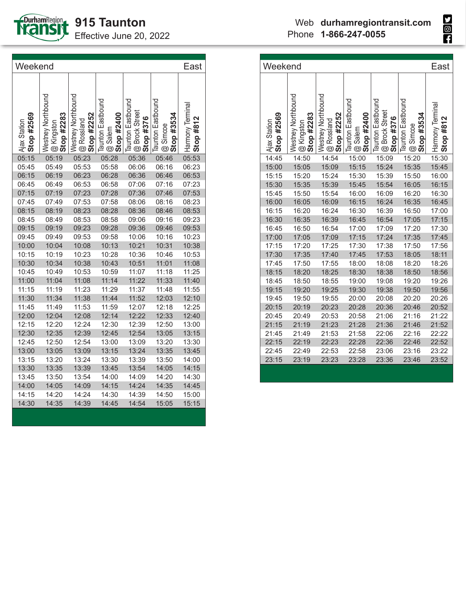

Effective June 20, 2022

**Sept** 

| Weekend                    |                                                |                                                |                                                   |                                                         |                                                    |                                 |  |
|----------------------------|------------------------------------------------|------------------------------------------------|---------------------------------------------------|---------------------------------------------------------|----------------------------------------------------|---------------------------------|--|
| Stop #2569<br>Ajax Station | Westney Northbound<br>Stop #2283<br>@ Kingston | Westney Northbound<br>Stop #2252<br>@ Rossland | <b>Taunton Eastbound</b><br>Stop #2400<br>@ Salem | <b>Taunton Eastbound</b><br>@ Brock Street<br>Stop #376 | <b>Taunton Eastbound</b><br>Stop #3534<br>@ Simcoe | Harmony Terminal<br>Stop $#812$ |  |
| 05:15                      | 05:19                                          | 05:23                                          | 05:28                                             | 05:36                                                   | 05:46                                              | 05:53                           |  |
| 05:45                      | 05:49                                          | 05:53                                          | 05:58                                             | 06:06                                                   | 06:16                                              | 06:23                           |  |
| 06:15                      | 06:19                                          | 06:23                                          | 06:28                                             | 06:36                                                   | 06:46                                              | 06:53                           |  |
| 06:45                      | 06:49                                          | 06:53                                          | 06:58                                             | 07:06                                                   | 07:16                                              | 07:23                           |  |
| 07:15                      | 07:19                                          | 07:23                                          | 07:28                                             | 07:36                                                   | 07:46                                              | 07:53                           |  |
| 07:45                      | 07:49                                          | 07:53                                          | 07:58                                             | 08:06                                                   | 08:16                                              | 08:23                           |  |
| 08:15                      | 08:19                                          | 08:23                                          | 08:28                                             | 08:36                                                   | 08:46                                              | 08:53                           |  |
| 08:45                      | 08:49                                          | 08:53                                          | 08:58                                             | 09:06                                                   | 09:16                                              | 09:23                           |  |
| 09:15                      | 09:19                                          | 09:23                                          | 09:28                                             | 09:36                                                   | 09:46                                              | 09:53                           |  |
| 09:45                      | 09:49                                          | 09:53                                          | 09:58                                             | 10:06                                                   | 10:16                                              | 10:23                           |  |
| 10:00                      | 10:04                                          | 10:08                                          | 10:13                                             | 10:21                                                   | 10:31                                              | 10:38                           |  |
| 10:15                      | 10:19                                          | 10:23                                          | 10:28                                             | 10:36                                                   | 10:46                                              | 10:53                           |  |
| 10:30                      | 10:34                                          | 10:38                                          | 10:43                                             | 10:51                                                   | 11:01                                              | 11:08                           |  |
| 10:45                      | 10:49                                          | 10:53                                          | 10:59                                             | 11:07                                                   | 11:18                                              | 11:25                           |  |
| 11:00                      | 11:04                                          | 11:08                                          | 11:14                                             | 11:22                                                   | 11:33                                              | 11:40                           |  |
| 11:15                      | 11:19                                          | 11:23                                          | 11:29                                             | 11:37                                                   | 11:48                                              | 11:55                           |  |
| 11:30                      | 11:34                                          | 11:38                                          | 11:44                                             | 11:52                                                   | 12:03                                              | 12:10                           |  |
| 11:45                      | 11:49                                          | 11:53                                          | 11:59                                             | 12:07                                                   | 12:18                                              | 12:25                           |  |
| 12:00                      | 12:04                                          | 12:08                                          | 12:14                                             | 12:22                                                   | 12:33                                              | 12:40                           |  |
| 12:15                      | 12:20                                          | 12:24                                          | 12:30                                             | 12:39                                                   | 12:50                                              | 13:00                           |  |
| 12:30                      | 12:35                                          | 12:39                                          | 12:45                                             | 12:54                                                   | 13:05                                              | 13:15                           |  |
| 12:45                      | 12:50                                          | 12:54                                          | 13:00                                             | 13:09                                                   | 13:20                                              | 13:30                           |  |
| 13:00                      | 13:05                                          | 13:09                                          | 13:15                                             | 13:24                                                   | 13:35                                              | 13:45                           |  |
| 13:15                      | 13:20                                          | 13:24                                          | 13:30                                             | 13:39                                                   | 13:50                                              | 14:00                           |  |
| 13:30                      | 13:35                                          | 13:39                                          | 13:45                                             | 13:54                                                   | 14:05                                              | 14:15                           |  |
| 13:45                      | 13:50                                          | 13:54                                          | 14:00                                             | 14:09                                                   | 14:20                                              | 14:30                           |  |
| 14:00                      | 14:05                                          | 14:09                                          | 14:15                                             | 14:24                                                   | 14:35                                              | 14:45                           |  |
| 14:15                      | 14:20                                          | 14:24                                          | 14:30                                             | 14:39                                                   | 14:50                                              | 15:00                           |  |
| 14:30                      | 14:35                                          | 14:39                                          | 14:45                                             | 14:54                                                   | 15:05                                              | 15:15                           |  |
|                            |                                                |                                                |                                                   |                                                         |                                                    |                                 |  |

| Weekend                    |                                                |                                                                |                                            |                                                         |                                                                    | East                            |
|----------------------------|------------------------------------------------|----------------------------------------------------------------|--------------------------------------------|---------------------------------------------------------|--------------------------------------------------------------------|---------------------------------|
| Stop #2569<br>Ajax Station | Westney Northbound<br>Stop #2283<br>@ Kingston | Westney Northbound<br>Stop #2252<br>Rossland<br>$\circledcirc$ | Taunton Eastbound<br>Stop #2400<br>@ Salem | <b>Taunton Eastbound</b><br>@ Brock Street<br>Stop #376 | <b>Taunton Eastbound</b><br>#3534<br>@ Simcoe<br>Stop <sub>i</sub> | Harmony Terminal<br>Stop $#812$ |
| 14:45                      | 14:50                                          | 14:54                                                          | 15:00                                      | 15:09                                                   | 15:20                                                              | 15:30                           |
| 15:00                      | 15:05                                          | 15:09                                                          | 15:15                                      | 15:24                                                   | 15:35                                                              | 15:45                           |
| 15:15                      | 15:20                                          | 15:24                                                          | 15:30                                      | 15:39                                                   | 15:50                                                              | 16:00                           |
| 15:30                      | 15:35                                          | 15:39                                                          | 15:45                                      | 15:54                                                   | 16:05                                                              | 16:15                           |
| 15:45                      | 15:50                                          | 15:54                                                          | 16:00                                      | 16:09                                                   | 16:20                                                              | 16:30                           |
| 16:00                      | 16:05                                          | 16:09                                                          | 16:15                                      | 16:24                                                   | 16:35                                                              | 16:45                           |
| 16:15                      | 16:20                                          | 16:24                                                          | 16:30                                      | 16:39                                                   | 16:50                                                              | 17:00                           |
| 16:30                      | 16:35                                          | 16:39                                                          | 16:45                                      | 16:54                                                   | 17:05                                                              | 17:15                           |
| 16:45                      | 16:50                                          | 16:54                                                          | 17:00                                      | 17:09                                                   | 17:20                                                              | 17:30                           |
| 17:00                      | 17:05                                          | 17:09                                                          | 17:15                                      | 17:24                                                   | 17:35                                                              | 17:45                           |
| 17:15                      | 17:20                                          | 17:25                                                          | 17:30                                      | 17:38                                                   | 17:50                                                              | 17:56                           |
| 17:30                      | 17:35                                          | 17:40                                                          | 17:45                                      | 17:53                                                   | 18:05                                                              | 18:11                           |
| 17:45                      | 17:50                                          | 17:55                                                          | 18:00                                      | 18:08                                                   | 18:20                                                              | 18:26                           |
| 18:15                      | 18:20                                          | 18:25                                                          | 18:30                                      | 18:38                                                   | 18:50                                                              | 18:56                           |
| 18:45                      | 18:50                                          | 18:55                                                          | 19:00                                      | 19:08                                                   | 19:20                                                              | 19:26                           |
| 19:15                      | 19:20                                          | 19:25                                                          | 19:30                                      | 19:38                                                   | 19:50                                                              | 19:56                           |
| 19:45                      | 19:50                                          | 19:55                                                          | 20:00                                      | 20:08                                                   | 20:20                                                              | 20:26                           |
| 20:15                      | 20:19                                          | 20:23                                                          | 20:28                                      | 20:36                                                   | 20:46                                                              | 20:52                           |
| 20:45                      | 20:49                                          | 20:53                                                          | 20:58                                      | 21:06                                                   | 21:16                                                              | 21:22                           |
| 21:15                      | 21:19                                          | 21:23                                                          | 21:28                                      | 21:36                                                   | 21:46                                                              | 21:52                           |
| 21:45                      | 21:49                                          | 21:53                                                          | 21:58                                      | 22:06                                                   | 22:16                                                              | 22:22                           |
| 22:15                      | 22:19                                          | 22:23                                                          | 22:28                                      | 22:36                                                   | 22:46                                                              | 22:52                           |
| 22:45                      | 22:49                                          | 22:53                                                          | 22:58                                      | 23:06                                                   | 23:16                                                              | 23:22                           |
| 23:15                      | 23:19                                          | 23:23                                                          | 23:28                                      | 23:36                                                   | 23:46                                                              | 23:52                           |
|                            |                                                |                                                                |                                            |                                                         |                                                                    |                                 |